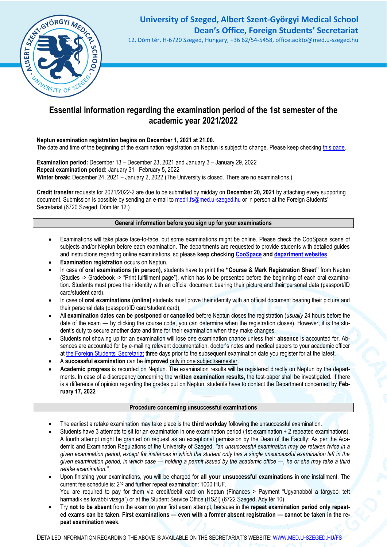

# **University of Szeged, Albert Szent-Györgyi Medical School Dean's Office, Foreign Students' Secretariat**

12. Dóm tér, H-6720 Szeged, Hungary, +36 62/54-5458, office.aokto@med.u-szeged.hu

### **Essential information regarding the examination period of the 1st semester of the academic year 2021/2022**

**Neptun examination registration begins on December 1, 2021 at 21.00.**

The date and time of the beginning of the examination registration on Neptun is subject to change. Please keep checking [this page.](http://web5.etr.u-szeged.hu:8080/naptar/Megnyitasrend/index.jsp?felev=2021-2022-1&kurzfel=N&lang=english)

**Examination period:** December 13 – December 23, 2021 and January 3 – January 29, 2022 **Repeat examination period:** January 31– February 5, 2022 Winter break: December 24, 2021 – January 2, 2022 (The University is closed. There are no examinations.)

**Credit transfer** requests for 2021/2022-2 are due to be submitted by midday on **December 20, 2021** by attaching every supporting document. Submission is possible by sending an e-mail t[o med1.fs@med.u-szeged.hu](mailto:med1.fs@med.u-szeged.hu) or in person at the Foreign Students' Secretariat (6720 Szeged, Dóm tér 12.)

#### **General information before you sign up for your examinations**

- Examinations will take place face-to-face, but some examinations might be online. Please check the CooSpace scene of subjects and/or Neptun before each examination. The departments are requested to provide students with detailed guides and instructions regarding online examinations, so please **keep checkin[g CooSpace](https://www.coosp.etr.u-szeged.hu/?_lang=en) and [department websites](http://www.med.u-szeged.hu/fs/departments-of-the/departments-of-the)**.
- **Examination registration occurs on Neptun.**
- In case of **oral examinations (in person)**, students have to print the **"Course & Mark Registration Sheet"** from Neptun (Studies -> Gradebook -> "Print fulfillment page"), which has to be presented before the beginning of each oral examination. Students must prove their identity with an official document bearing their picture and their personal data (passport/ID card/student card).
- In case of **oral examinations (online)** students must prove their identity with an official document bearing their picture and their personal data (passport/ID card/student card).
- All **examination dates can be postponed or cancelled** before Neptun closes the registration (*usually* 24 hours before the date of the exam — by clicking the course code, you can determine when the registration closes). However, it is the student's duty to secure another date and time for their examination when they make changes.
- Students not showing up for an examination will lose one examination chance unless their **absence** is accounted for. Absences are accounted for by e-mailing relevant documentation, doctor's notes and medical papers to your academic officer at [the Foreign Students' Secretariat](http://www.med.u-szeged.hu/fs/foreign-students/foreign-students) three days prior to the subsequent examination date you register for at the latest.
- A **successful examination** can be **improved** only in one subject/semester.
- **Academic progress** is recorded on Neptun. The examination results will be registered directly on Neptun by the departments. In case of a discrepancy concerning the **written examination results**, the test-paper shall be investigated. If there is a difference of opinion regarding the grades put on Neptun, students have to contact the Department concerned by **February 17, 2022**

#### **Procedure concerning unsuccessful examinations**

- The earliest a retake examination may take place is the **third workday** following the unsuccessful examination.
- Students have 3 attempts to sit for an examination in one examination period (1st examination + 2 repeated examinations). A fourth attempt might be granted on request as an exceptional permission by the Dean of the Faculty: As per the Academic and Examination Regulations of the University of Szeged, *"an unsuccessful examination may be retaken twice in a given examination period, except for instances in which the student only has a single unsuccessful examination left in the given examination period, in which case — holding a permit issued by the academic office —, he or she may take a third retake examination."*
- Upon finishing your examinations, you will be charged for **all your unsuccessful examinations** in one installment. The current fee schedule is: 2nd and further repeat examination: 1000 HUF. You are required to pay for them via credit/debit card on Neptun (Finances > Payment "Ugyanabból a tárgyból tett harmadik és további vizsga") or at the Student Service Office (HSZI) (6722 Szeged, Ady tér 10).
- Try **not to be absent** from the exam on your first exam attempt, because in the **repeat examination period only repeated exams can be taken**. **First examinations — even with a former absent registration — cannot be taken in the repeat examination week.**

DETAILED INFORMATION REGARDING THE ABOVE IS AVAILABLE ON THE SECRETARIAT'S WEBSITE: WWW.MED.U-SZEGED.HU/FS